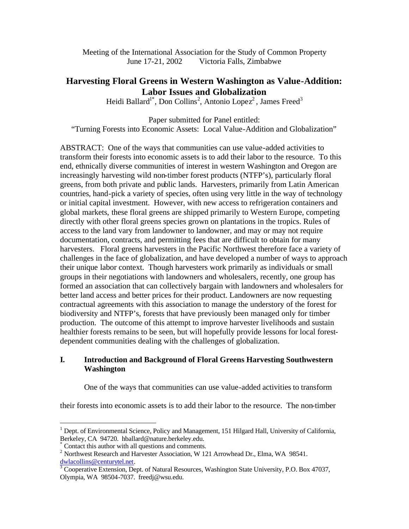Meeting of the International Association for the Study of Common Property June 17-21, 2002 Victoria Falls, Zimbabwe

# **Harvesting Floral Greens in Western Washington as Value-Addition: Labor Issues and Globalization**

Heidi Ballard<sup>1\*</sup>, Don Collins<sup>2</sup>, Antonio Lopez<sup>2</sup>, James Freed<sup>3</sup>

Paper submitted for Panel entitled: "Turning Forests into Economic Assets: Local Value-Addition and Globalization"

ABSTRACT: One of the ways that communities can use value-added activities to transform their forests into economic assets is to add their labor to the resource. To this end, ethnically diverse communities of interest in western Washington and Oregon are increasingly harvesting wild non-timber forest products (NTFP's), particularly floral greens, from both private and public lands. Harvesters, primarily from Latin American countries, hand-pick a variety of species, often using very little in the way of technology or initial capital investment. However, with new access to refrigeration containers and global markets, these floral greens are shipped primarily to Western Europe, competing directly with other floral greens species grown on plantations in the tropics. Rules of access to the land vary from landowner to landowner, and may or may not require documentation, contracts, and permitting fees that are difficult to obtain for many harvesters. Floral greens harvesters in the Pacific Northwest therefore face a variety of challenges in the face of globalization, and have developed a number of ways to approach their unique labor context. Though harvesters work primarily as individuals or small groups in their negotiations with landowners and wholesalers, recently, one group has formed an association that can collectively bargain with landowners and wholesalers for better land access and better prices for their product. Landowners are now requesting contractual agreements with this association to manage the understory of the forest for biodiversity and NTFP's, forests that have previously been managed only for timber production. The outcome of this attempt to improve harvester livelihoods and sustain healthier forests remains to be seen, but will hopefully provide lessons for local forestdependent communities dealing with the challenges of globalization.

## **I. Introduction and Background of Floral Greens Harvesting Southwestern Washington**

One of the ways that communities can use value-added activities to transform

their forests into economic assets is to add their labor to the resource. The non-timber

 $\overline{a}$ 

<sup>&</sup>lt;sup>1</sup> Dept. of Environmental Science, Policy and Management, 151 Hilgard Hall, University of California, Berkeley, CA 94720. hballard@nature.berkeley.edu.

<sup>\*</sup> Contact this author with all questions and comments.

<sup>&</sup>lt;sup>2</sup> Northwest Research and Harvester Association, W 121 Arrowhead Dr., Elma, WA 98541.

dwlacollins@centurytel.net. 3 Cooperative Extension, Dept. of Natural Resources, Washington State University, P.O. Box 47037, Olympia, WA 98504-7037. freedj@wsu.edu.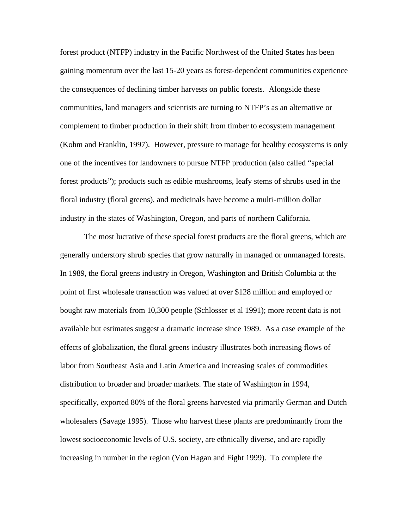forest product (NTFP) industry in the Pacific Northwest of the United States has been gaining momentum over the last 15-20 years as forest-dependent communities experience the consequences of declining timber harvests on public forests. Alongside these communities, land managers and scientists are turning to NTFP's as an alternative or complement to timber production in their shift from timber to ecosystem management (Kohm and Franklin, 1997). However, pressure to manage for healthy ecosystems is only one of the incentives for landowners to pursue NTFP production (also called "special forest products"); products such as edible mushrooms, leafy stems of shrubs used in the floral industry (floral greens), and medicinals have become a multi-million dollar industry in the states of Washington, Oregon, and parts of northern California.

The most lucrative of these special forest products are the floral greens, which are generally understory shrub species that grow naturally in managed or unmanaged forests. In 1989, the floral greens industry in Oregon, Washington and British Columbia at the point of first wholesale transaction was valued at over \$128 million and employed or bought raw materials from 10,300 people (Schlosser et al 1991); more recent data is not available but estimates suggest a dramatic increase since 1989. As a case example of the effects of globalization, the floral greens industry illustrates both increasing flows of labor from Southeast Asia and Latin America and increasing scales of commodities distribution to broader and broader markets. The state of Washington in 1994, specifically, exported 80% of the floral greens harvested via primarily German and Dutch wholesalers (Savage 1995). Those who harvest these plants are predominantly from the lowest socioeconomic levels of U.S. society, are ethnically diverse, and are rapidly increasing in number in the region (Von Hagan and Fight 1999). To complete the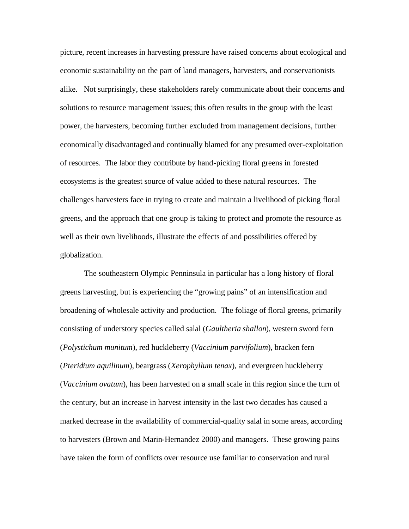picture, recent increases in harvesting pressure have raised concerns about ecological and economic sustainability on the part of land managers, harvesters, and conservationists alike. Not surprisingly, these stakeholders rarely communicate about their concerns and solutions to resource management issues; this often results in the group with the least power, the harvesters, becoming further excluded from management decisions, further economically disadvantaged and continually blamed for any presumed over-exploitation of resources. The labor they contribute by hand-picking floral greens in forested ecosystems is the greatest source of value added to these natural resources. The challenges harvesters face in trying to create and maintain a livelihood of picking floral greens, and the approach that one group is taking to protect and promote the resource as well as their own livelihoods, illustrate the effects of and possibilities offered by globalization.

The southeastern Olympic Penninsula in particular has a long history of floral greens harvesting, but is experiencing the "growing pains" of an intensification and broadening of wholesale activity and production. The foliage of floral greens, primarily consisting of understory species called salal (*Gaultheria shallon*), western sword fern (*Polystichum munitum*), red huckleberry (*Vaccinium parvifolium*), bracken fern (*Pteridium aquilinum*), beargrass (*Xerophyllum tenax*), and evergreen huckleberry (*Vaccinium ovatum*), has been harvested on a small scale in this region since the turn of the century, but an increase in harvest intensity in the last two decades has caused a marked decrease in the availability of commercial-quality salal in some areas, according to harvesters (Brown and Marin-Hernandez 2000) and managers. These growing pains have taken the form of conflicts over resource use familiar to conservation and rural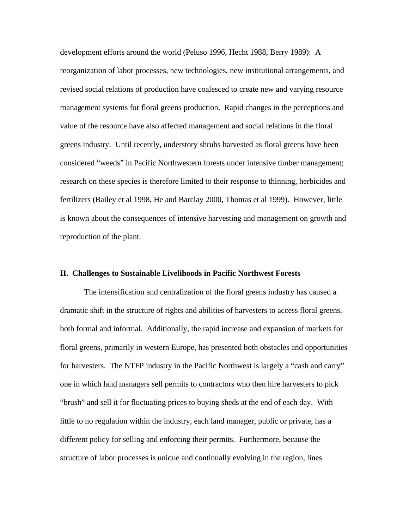development efforts around the world (Peluso 1996, Hecht 1988, Berry 1989): A reorganization of labor processes, new technologies, new institutional arrangements, and revised social relations of production have coalesced to create new and varying resource management systems for floral greens production. Rapid changes in the perceptions and value of the resource have also affected management and social relations in the floral greens industry. Until recently, understory shrubs harvested as floral greens have been considered "weeds" in Pacific Northwestern forests under intensive timber management; research on these species is therefore limited to their response to thinning, herbicides and fertilizers (Bailey et al 1998, He and Barclay 2000, Thomas et al 1999). However, little is known about the consequences of intensive harvesting and management on growth and reproduction of the plant.

### **II. Challenges to Sustainable Livelihoods in Pacific Northwest Forests**

The intensification and centralization of the floral greens industry has caused a dramatic shift in the structure of rights and abilities of harvesters to access floral greens, both formal and informal. Additionally, the rapid increase and expansion of markets for floral greens, primarily in western Europe, has presented both obstacles and opportunities for harvesters. The NTFP industry in the Pacific Northwest is largely a "cash and carry" one in which land managers sell permits to contractors who then hire harvesters to pick "brush" and sell it for fluctuating prices to buying sheds at the end of each day. With little to no regulation within the industry, each land manager, public or private, has a different policy for selling and enforcing their permits. Furthermore, because the structure of labor processes is unique and continually evolving in the region, lines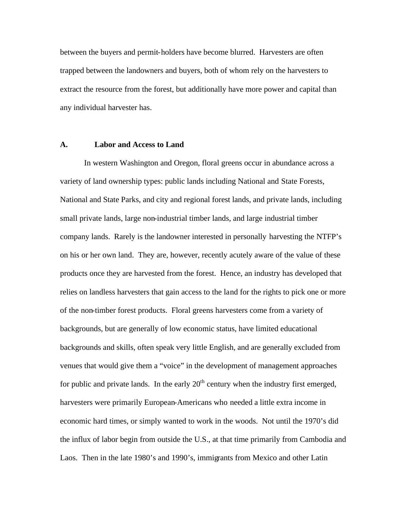between the buyers and permit-holders have become blurred. Harvesters are often trapped between the landowners and buyers, both of whom rely on the harvesters to extract the resource from the forest, but additionally have more power and capital than any individual harvester has.

### **A. Labor and Access to Land**

In western Washington and Oregon, floral greens occur in abundance across a variety of land ownership types: public lands including National and State Forests, National and State Parks, and city and regional forest lands, and private lands, including small private lands, large non-industrial timber lands, and large industrial timber company lands. Rarely is the landowner interested in personally harvesting the NTFP's on his or her own land. They are, however, recently acutely aware of the value of these products once they are harvested from the forest. Hence, an industry has developed that relies on landless harvesters that gain access to the land for the rights to pick one or more of the non-timber forest products. Floral greens harvesters come from a variety of backgrounds, but are generally of low economic status, have limited educational backgrounds and skills, often speak very little English, and are generally excluded from venues that would give them a "voice" in the development of management approaches for public and private lands. In the early  $20<sup>th</sup>$  century when the industry first emerged, harvesters were primarily European-Americans who needed a little extra income in economic hard times, or simply wanted to work in the woods. Not until the 1970's did the influx of labor begin from outside the U.S., at that time primarily from Cambodia and Laos. Then in the late 1980's and 1990's, immigrants from Mexico and other Latin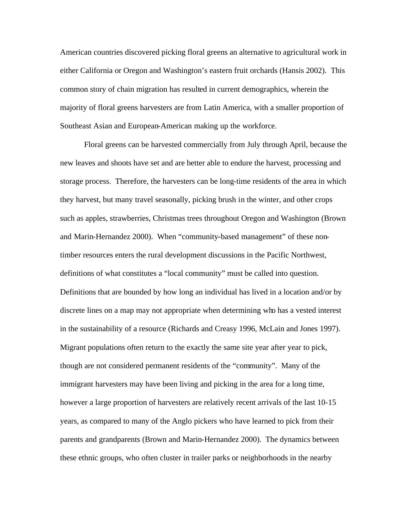American countries discovered picking floral greens an alternative to agricultural work in either California or Oregon and Washington's eastern fruit orchards (Hansis 2002). This common story of chain migration has resulted in current demographics, wherein the majority of floral greens harvesters are from Latin America, with a smaller proportion of Southeast Asian and European-American making up the workforce.

Floral greens can be harvested commercially from July through April, because the new leaves and shoots have set and are better able to endure the harvest, processing and storage process. Therefore, the harvesters can be long-time residents of the area in which they harvest, but many travel seasonally, picking brush in the winter, and other crops such as apples, strawberries, Christmas trees throughout Oregon and Washington (Brown and Marin-Hernandez 2000). When "community-based management" of these nontimber resources enters the rural development discussions in the Pacific Northwest, definitions of what constitutes a "local community" must be called into question. Definitions that are bounded by how long an individual has lived in a location and/or by discrete lines on a map may not appropriate when determining who has a vested interest in the sustainability of a resource (Richards and Creasy 1996, McLain and Jones 1997). Migrant populations often return to the exactly the same site year after year to pick, though are not considered permanent residents of the "community". Many of the immigrant harvesters may have been living and picking in the area for a long time, however a large proportion of harvesters are relatively recent arrivals of the last 10-15 years, as compared to many of the Anglo pickers who have learned to pick from their parents and grandparents (Brown and Marin-Hernandez 2000). The dynamics between these ethnic groups, who often cluster in trailer parks or neighborhoods in the nearby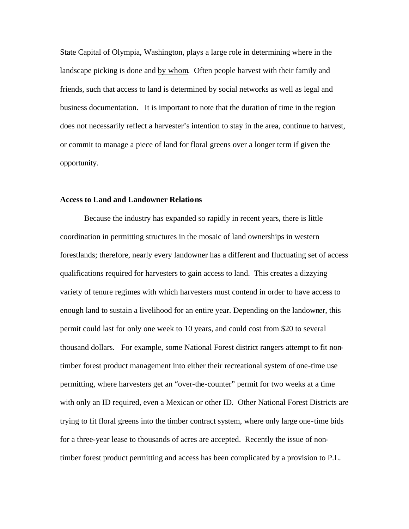State Capital of Olympia, Washington, plays a large role in determining where in the landscape picking is done and by whom. Often people harvest with their family and friends, such that access to land is determined by social networks as well as legal and business documentation. It is important to note that the duration of time in the region does not necessarily reflect a harvester's intention to stay in the area, continue to harvest, or commit to manage a piece of land for floral greens over a longer term if given the opportunity.

### **Access to Land and Landowner Relations**

Because the industry has expanded so rapidly in recent years, there is little coordination in permitting structures in the mosaic of land ownerships in western forestlands; therefore, nearly every landowner has a different and fluctuating set of access qualifications required for harvesters to gain access to land. This creates a dizzying variety of tenure regimes with which harvesters must contend in order to have access to enough land to sustain a livelihood for an entire year. Depending on the landowner, this permit could last for only one week to 10 years, and could cost from \$20 to several thousand dollars. For example, some National Forest district rangers attempt to fit nontimber forest product management into either their recreational system of one-time use permitting, where harvesters get an "over-the-counter" permit for two weeks at a time with only an ID required, even a Mexican or other ID. Other National Forest Districts are trying to fit floral greens into the timber contract system, where only large one-time bids for a three-year lease to thousands of acres are accepted. Recently the issue of nontimber forest product permitting and access has been complicated by a provision to P.L.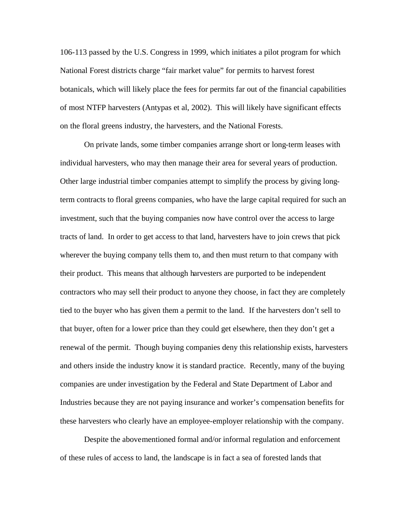106-113 passed by the U.S. Congress in 1999, which initiates a pilot program for which National Forest districts charge "fair market value" for permits to harvest forest botanicals, which will likely place the fees for permits far out of the financial capabilities of most NTFP harvesters (Antypas et al, 2002). This will likely have significant effects on the floral greens industry, the harvesters, and the National Forests.

On private lands, some timber companies arrange short or long-term leases with individual harvesters, who may then manage their area for several years of production. Other large industrial timber companies attempt to simplify the process by giving longterm contracts to floral greens companies, who have the large capital required for such an investment, such that the buying companies now have control over the access to large tracts of land. In order to get access to that land, harvesters have to join crews that pick wherever the buying company tells them to, and then must return to that company with their product. This means that although harvesters are purported to be independent contractors who may sell their product to anyone they choose, in fact they are completely tied to the buyer who has given them a permit to the land. If the harvesters don't sell to that buyer, often for a lower price than they could get elsewhere, then they don't get a renewal of the permit. Though buying companies deny this relationship exists, harvesters and others inside the industry know it is standard practice. Recently, many of the buying companies are under investigation by the Federal and State Department of Labor and Industries because they are not paying insurance and worker's compensation benefits for these harvesters who clearly have an employee-employer relationship with the company.

Despite the abovementioned formal and/or informal regulation and enforcement of these rules of access to land, the landscape is in fact a sea of forested lands that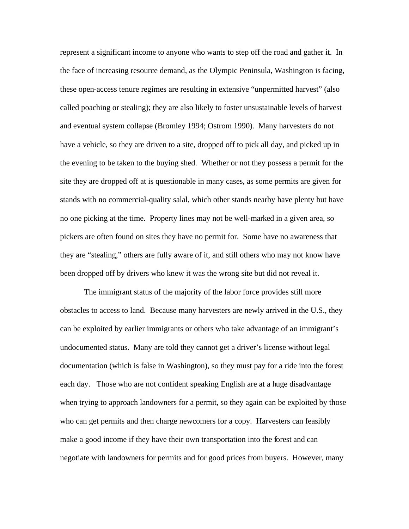represent a significant income to anyone who wants to step off the road and gather it. In the face of increasing resource demand, as the Olympic Peninsula, Washington is facing, these open-access tenure regimes are resulting in extensive "unpermitted harvest" (also called poaching or stealing); they are also likely to foster unsustainable levels of harvest and eventual system collapse (Bromley 1994; Ostrom 1990). Many harvesters do not have a vehicle, so they are driven to a site, dropped off to pick all day, and picked up in the evening to be taken to the buying shed. Whether or not they possess a permit for the site they are dropped off at is questionable in many cases, as some permits are given for stands with no commercial-quality salal, which other stands nearby have plenty but have no one picking at the time. Property lines may not be well-marked in a given area, so pickers are often found on sites they have no permit for. Some have no awareness that they are "stealing," others are fully aware of it, and still others who may not know have been dropped off by drivers who knew it was the wrong site but did not reveal it.

The immigrant status of the majority of the labor force provides still more obstacles to access to land. Because many harvesters are newly arrived in the U.S., they can be exploited by earlier immigrants or others who take advantage of an immigrant's undocumented status. Many are told they cannot get a driver's license without legal documentation (which is false in Washington), so they must pay for a ride into the forest each day. Those who are not confident speaking English are at a huge disadvantage when trying to approach landowners for a permit, so they again can be exploited by those who can get permits and then charge newcomers for a copy. Harvesters can feasibly make a good income if they have their own transportation into the forest and can negotiate with landowners for permits and for good prices from buyers. However, many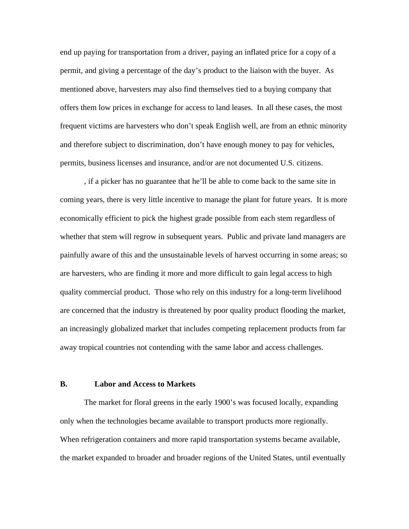end up paying for transportation from a driver, paying an inflated price for a copy of a permit, and giving a percentage of the day's product to the liaison with the buyer. As mentioned above, harvesters may also find themselves tied to a buying company that offers them low prices in exchange for access to land leases. In all these cases, the most frequent victims are harvesters who don't speak English well, are from an ethnic minority and therefore subject to discrimination, don't have enough money to pay for vehicles, permits, business licenses and insurance, and/or are not documented U.S. citizens.

, if a picker has no guarantee that he'll be able to come back to the same site in coming years, there is very little incentive to manage the plant for future years. It is more economically efficient to pick the highest grade possible from each stem regardless of whether that stem will regrow in subsequent years. Public and private land managers are painfully aware of this and the unsustainable levels of harvest occurring in some areas; so are harvesters, who are finding it more and more difficult to gain legal access to high quality commercial product. Those who rely on this industry for a long-term livelihood are concerned that the industry is threatened by poor quality product flooding the market, an increasingly globalized market that includes competing replacement products from far away tropical countries not contending with the same labor and access challenges.

## **B. Labor and Access to Markets**

The market for floral greens in the early 1900's was focused locally, expanding only when the technologies became available to transport products more regionally. When refrigeration containers and more rapid transportation systems became available, the market expanded to broader and broader regions of the United States, until eventually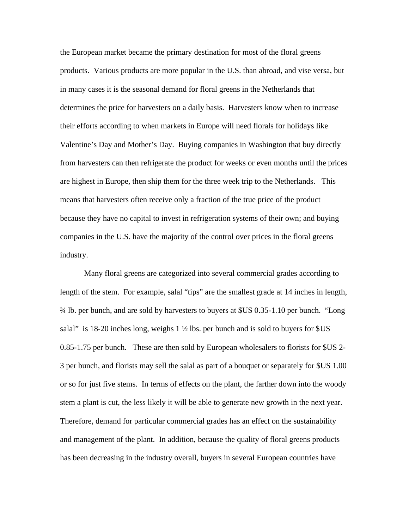the European market became the primary destination for most of the floral greens products. Various products are more popular in the U.S. than abroad, and vise versa, but in many cases it is the seasonal demand for floral greens in the Netherlands that determines the price for harvesters on a daily basis. Harvesters know when to increase their efforts according to when markets in Europe will need florals for holidays like Valentine's Day and Mother's Day. Buying companies in Washington that buy directly from harvesters can then refrigerate the product for weeks or even months until the prices are highest in Europe, then ship them for the three week trip to the Netherlands. This means that harvesters often receive only a fraction of the true price of the product because they have no capital to invest in refrigeration systems of their own; and buying companies in the U.S. have the majority of the control over prices in the floral greens industry.

Many floral greens are categorized into several commercial grades according to length of the stem. For example, salal "tips" are the smallest grade at 14 inches in length, ¾ lb. per bunch, and are sold by harvesters to buyers at \$US 0.35-1.10 per bunch. "Long salal" is 18-20 inches long, weighs  $1 \frac{1}{2}$  lbs. per bunch and is sold to buyers for \$US 0.85-1.75 per bunch. These are then sold by European wholesalers to florists for \$US 2- 3 per bunch, and florists may sell the salal as part of a bouquet or separately for \$US 1.00 or so for just five stems. In terms of effects on the plant, the farther down into the woody stem a plant is cut, the less likely it will be able to generate new growth in the next year. Therefore, demand for particular commercial grades has an effect on the sustainability and management of the plant. In addition, because the quality of floral greens products has been decreasing in the industry overall, buyers in several European countries have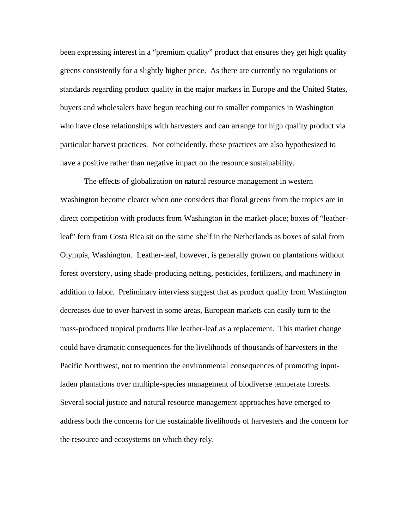been expressing interest in a "premium quality" product that ensures they get high quality greens consistently for a slightly higher price. As there are currently no regulations or standards regarding product quality in the major markets in Europe and the United States, buyers and wholesalers have begun reaching out to smaller companies in Washington who have close relationships with harvesters and can arrange for high quality product via particular harvest practices. Not coincidently, these practices are also hypothesized to have a positive rather than negative impact on the resource sustainability.

The effects of globalization on natural resource management in western Washington become clearer when one considers that floral greens from the tropics are in direct competition with products from Washington in the market-place; boxes of "leatherleaf" fern from Costa Rica sit on the same shelf in the Netherlands as boxes of salal from Olympia, Washington. Leather-leaf, however, is generally grown on plantations without forest overstory, using shade-producing netting, pesticides, fertilizers, and machinery in addition to labor. Preliminary interviess suggest that as product quality from Washington decreases due to over-harvest in some areas, European markets can easily turn to the mass-produced tropical products like leather-leaf as a replacement. This market change could have dramatic consequences for the livelihoods of thousands of harvesters in the Pacific Northwest, not to mention the environmental consequences of promoting inputladen plantations over multiple-species management of biodiverse temperate forests. Several social justice and natural resource management approaches have emerged to address both the concerns for the sustainable livelihoods of harvesters and the concern for the resource and ecosystems on which they rely.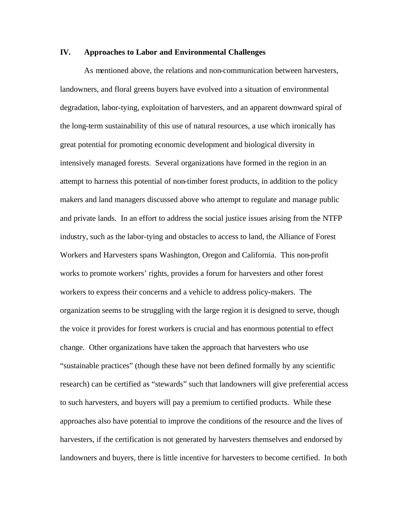### **IV. Approaches to Labor and Environmental Challenges**

As mentioned above, the relations and non-communication between harvesters, landowners, and floral greens buyers have evolved into a situation of environmental degradation, labor-tying, exploitation of harvesters, and an apparent downward spiral of the long-term sustainability of this use of natural resources, a use which ironically has great potential for promoting economic development and biological diversity in intensively managed forests. Several organizations have formed in the region in an attempt to harness this potential of non-timber forest products, in addition to the policy makers and land managers discussed above who attempt to regulate and manage public and private lands. In an effort to address the social justice issues arising from the NTFP industry, such as the labor-tying and obstacles to access to land, the Alliance of Forest Workers and Harvesters spans Washington, Oregon and California. This non-profit works to promote workers' rights, provides a forum for harvesters and other forest workers to express their concerns and a vehicle to address policy-makers. The organization seems to be struggling with the large region it is designed to serve, though the voice it provides for forest workers is crucial and has enormous potential to effect change. Other organizations have taken the approach that harvesters who use "sustainable practices" (though these have not been defined formally by any scientific research) can be certified as "stewards" such that landowners will give preferential access to such harvesters, and buyers will pay a premium to certified products. While these approaches also have potential to improve the conditions of the resource and the lives of harvesters, if the certification is not generated by harvesters themselves and endorsed by landowners and buyers, there is little incentive for harvesters to become certified. In both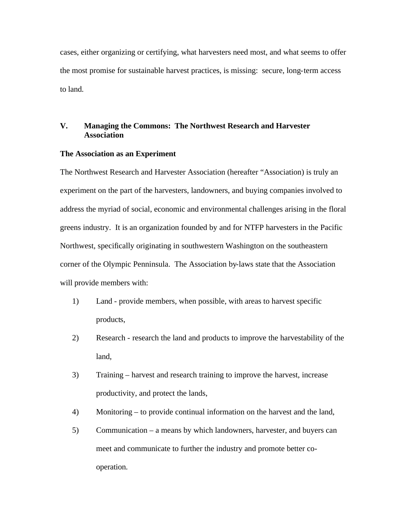cases, either organizing or certifying, what harvesters need most, and what seems to offer the most promise for sustainable harvest practices, is missing: secure, long-term access to land.

## **V. Managing the Commons: The Northwest Research and Harvester Association**

### **The Association as an Experiment**

The Northwest Research and Harvester Association (hereafter "Association) is truly an experiment on the part of the harvesters, landowners, and buying companies involved to address the myriad of social, economic and environmental challenges arising in the floral greens industry. It is an organization founded by and for NTFP harvesters in the Pacific Northwest, specifically originating in southwestern Washington on the southeastern corner of the Olympic Penninsula. The Association by-laws state that the Association will provide members with:

- 1) Land provide members, when possible, with areas to harvest specific products,
- 2) Research research the land and products to improve the harvestability of the land,
- 3) Training harvest and research training to improve the harvest, increase productivity, and protect the lands,
- 4) Monitoring to provide continual information on the harvest and the land,
- 5) Communication a means by which landowners, harvester, and buyers can meet and communicate to further the industry and promote better cooperation.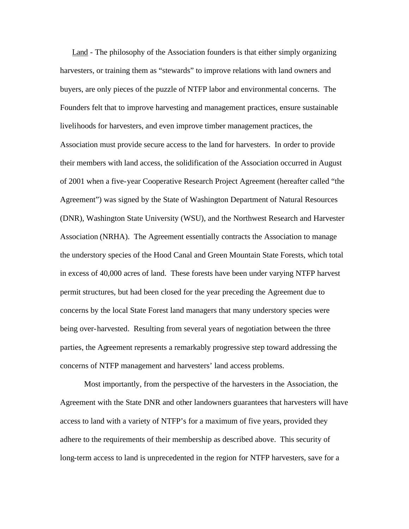Land - The philosophy of the Association founders is that either simply organizing harvesters, or training them as "stewards" to improve relations with land owners and buyers, are only pieces of the puzzle of NTFP labor and environmental concerns. The Founders felt that to improve harvesting and management practices, ensure sustainable livelihoods for harvesters, and even improve timber management practices, the Association must provide secure access to the land for harvesters. In order to provide their members with land access, the solidification of the Association occurred in August of 2001 when a five-year Cooperative Research Project Agreement (hereafter called "the Agreement") was signed by the State of Washington Department of Natural Resources (DNR), Washington State University (WSU), and the Northwest Research and Harvester Association (NRHA). The Agreement essentially contracts the Association to manage the understory species of the Hood Canal and Green Mountain State Forests, which total in excess of 40,000 acres of land. These forests have been under varying NTFP harvest permit structures, but had been closed for the year preceding the Agreement due to concerns by the local State Forest land managers that many understory species were being over-harvested. Resulting from several years of negotiation between the three parties, the Agreement represents a remarkably progressive step toward addressing the concerns of NTFP management and harvesters' land access problems.

Most importantly, from the perspective of the harvesters in the Association, the Agreement with the State DNR and other landowners guarantees that harvesters will have access to land with a variety of NTFP's for a maximum of five years, provided they adhere to the requirements of their membership as described above. This security of long-term access to land is unprecedented in the region for NTFP harvesters, save for a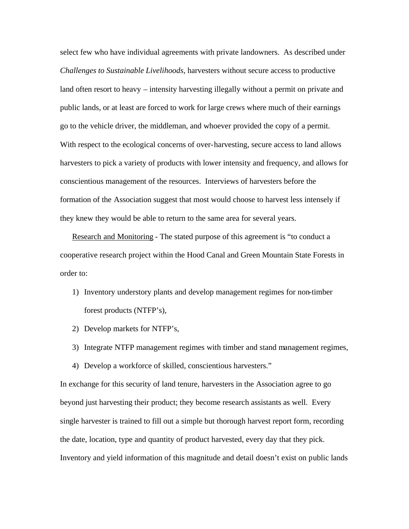select few who have individual agreements with private landowners. As described under *Challenges to Sustainable Livelihoods*, harvesters without secure access to productive land often resort to heavy – intensity harvesting illegally without a permit on private and public lands, or at least are forced to work for large crews where much of their earnings go to the vehicle driver, the middleman, and whoever provided the copy of a permit. With respect to the ecological concerns of over-harvesting, secure access to land allows harvesters to pick a variety of products with lower intensity and frequency, and allows for conscientious management of the resources. Interviews of harvesters before the formation of the Association suggest that most would choose to harvest less intensely if they knew they would be able to return to the same area for several years.

Research and Monitoring - The stated purpose of this agreement is "to conduct a cooperative research project within the Hood Canal and Green Mountain State Forests in order to:

- 1) Inventory understory plants and develop management regimes for non-timber forest products (NTFP's),
- 2) Develop markets for NTFP's,
- 3) Integrate NTFP management regimes with timber and stand management regimes,
- 4) Develop a workforce of skilled, conscientious harvesters."

In exchange for this security of land tenure, harvesters in the Association agree to go beyond just harvesting their product; they become research assistants as well. Every single harvester is trained to fill out a simple but thorough harvest report form, recording the date, location, type and quantity of product harvested, every day that they pick. Inventory and yield information of this magnitude and detail doesn't exist on public lands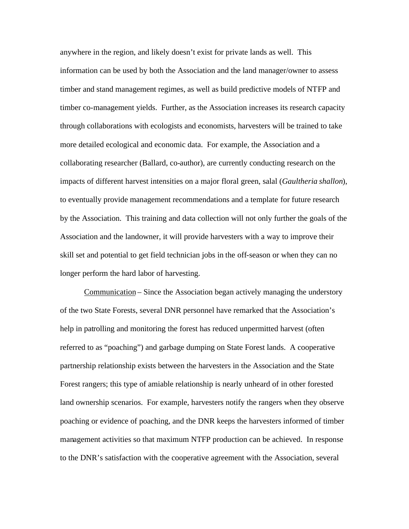anywhere in the region, and likely doesn't exist for private lands as well. This information can be used by both the Association and the land manager/owner to assess timber and stand management regimes, as well as build predictive models of NTFP and timber co-management yields. Further, as the Association increases its research capacity through collaborations with ecologists and economists, harvesters will be trained to take more detailed ecological and economic data. For example, the Association and a collaborating researcher (Ballard, co-author), are currently conducting research on the impacts of different harvest intensities on a major floral green, salal (*Gaultheria shallon*), to eventually provide management recommendations and a template for future research by the Association. This training and data collection will not only further the goals of the Association and the landowner, it will provide harvesters with a way to improve their skill set and potential to get field technician jobs in the off-season or when they can no longer perform the hard labor of harvesting.

Communication – Since the Association began actively managing the understory of the two State Forests, several DNR personnel have remarked that the Association's help in patrolling and monitoring the forest has reduced unpermitted harvest (often referred to as "poaching") and garbage dumping on State Forest lands. A cooperative partnership relationship exists between the harvesters in the Association and the State Forest rangers; this type of amiable relationship is nearly unheard of in other forested land ownership scenarios. For example, harvesters notify the rangers when they observe poaching or evidence of poaching, and the DNR keeps the harvesters informed of timber management activities so that maximum NTFP production can be achieved. In response to the DNR's satisfaction with the cooperative agreement with the Association, several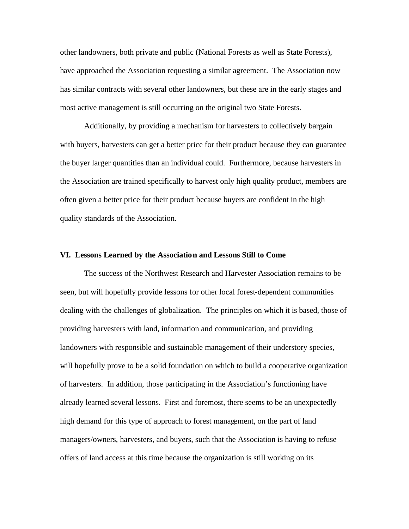other landowners, both private and public (National Forests as well as State Forests), have approached the Association requesting a similar agreement. The Association now has similar contracts with several other landowners, but these are in the early stages and most active management is still occurring on the original two State Forests.

Additionally, by providing a mechanism for harvesters to collectively bargain with buyers, harvesters can get a better price for their product because they can guarantee the buyer larger quantities than an individual could. Furthermore, because harvesters in the Association are trained specifically to harvest only high quality product, members are often given a better price for their product because buyers are confident in the high quality standards of the Association.

#### **VI. Lessons Learned by the Association and Lessons Still to Come**

The success of the Northwest Research and Harvester Association remains to be seen, but will hopefully provide lessons for other local forest-dependent communities dealing with the challenges of globalization. The principles on which it is based, those of providing harvesters with land, information and communication, and providing landowners with responsible and sustainable management of their understory species, will hopefully prove to be a solid foundation on which to build a cooperative organization of harvesters. In addition, those participating in the Association's functioning have already learned several lessons. First and foremost, there seems to be an unexpectedly high demand for this type of approach to forest management, on the part of land managers/owners, harvesters, and buyers, such that the Association is having to refuse offers of land access at this time because the organization is still working on its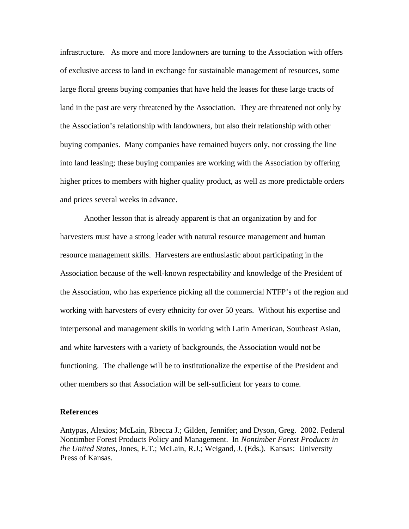infrastructure. As more and more landowners are turning to the Association with offers of exclusive access to land in exchange for sustainable management of resources, some large floral greens buying companies that have held the leases for these large tracts of land in the past are very threatened by the Association. They are threatened not only by the Association's relationship with landowners, but also their relationship with other buying companies. Many companies have remained buyers only, not crossing the line into land leasing; these buying companies are working with the Association by offering higher prices to members with higher quality product, as well as more predictable orders and prices several weeks in advance.

Another lesson that is already apparent is that an organization by and for harvesters must have a strong leader with natural resource management and human resource management skills. Harvesters are enthusiastic about participating in the Association because of the well-known respectability and knowledge of the President of the Association, who has experience picking all the commercial NTFP's of the region and working with harvesters of every ethnicity for over 50 years. Without his expertise and interpersonal and management skills in working with Latin American, Southeast Asian, and white harvesters with a variety of backgrounds, the Association would not be functioning. The challenge will be to institutionalize the expertise of the President and other members so that Association will be self-sufficient for years to come.

### **References**

Antypas, Alexios; McLain, Rbecca J.; Gilden, Jennifer; and Dyson, Greg. 2002. Federal Nontimber Forest Products Policy and Management. In *Nontimber Forest Products in the United States*, Jones, E.T.; McLain, R.J.; Weigand, J. (Eds.). Kansas: University Press of Kansas.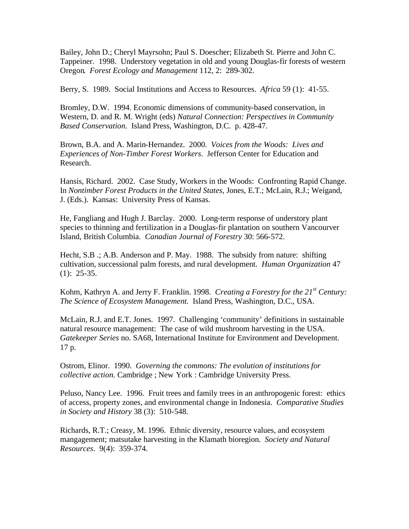Bailey, John D.; Cheryl Mayrsohn; Paul S. Doescher; Elizabeth St. Pierre and John C. Tappeiner. 1998. Understory vegetation in old and young Douglas-fir forests of western Oregon*. Forest Ecology and Management* 112, 2: 289-302.

Berry, S. 1989. Social Institutions and Access to Resources. *Africa* 59 (1): 41-55.

Bromley, D.W. 1994. Economic dimensions of community-based conservation, in Western, D. and R. M. Wright (eds) *Natural Connection: Perspectives in Community Based Conservation.* Island Press, Washington, D.C. p. 428-47.

Brown, B.A. and A. Marin-Hernandez. 2000*. Voices from the Woods: Lives and Experiences of Non-Timber Forest Workers*. Jefferson Center for Education and Research.

Hansis, Richard. 2002. Case Study, Workers in the Woods: Confronting Rapid Change. In *Nontimber Forest Products in the United States*, Jones, E.T.; McLain, R.J.; Weigand, J. (Eds.). Kansas: University Press of Kansas.

He, Fangliang and Hugh J. Barclay. 2000. Long-term response of understory plant species to thinning and fertilization in a Douglas-fir plantation on southern Vancourver Island, British Columbia. *Canadian Journal of Forestry* 30: 566-572.

Hecht, S.B .; A.B. Anderson and P. May. 1988. The subsidy from nature: shifting cultivation, successional palm forests, and rural development. *Human Organization* 47  $(1): 25-35.$ 

Kohm, Kathryn A. and Jerry F. Franklin. 1998. *Creating a Forestry for the 21st Century: The Science of Ecosystem Management.* Island Press, Washington, D.C., USA.

McLain, R.J. and E.T. Jones. 1997. Challenging 'community' definitions in sustainable natural resource management: The case of wild mushroom harvesting in the USA. *Gatekeeper Series* no. SA68, International Institute for Environment and Development. 17 p.

Ostrom, Elinor. 1990. *Governing the commons: The evolution of institutions for collective action.* Cambridge ; New York : Cambridge University Press.

Peluso, Nancy Lee. 1996. Fruit trees and family trees in an anthropogenic forest: ethics of access, property zones, and environmental change in Indonesia. *Comparative Studies in Society and History* 38 (3): 510-548.

Richards, R.T.; Creasy, M. 1996. Ethnic diversity, resource values, and ecosystem mangagement; matsutake harvesting in the Klamath bioregion. *Society and Natural Resources*. 9(4): 359-374.